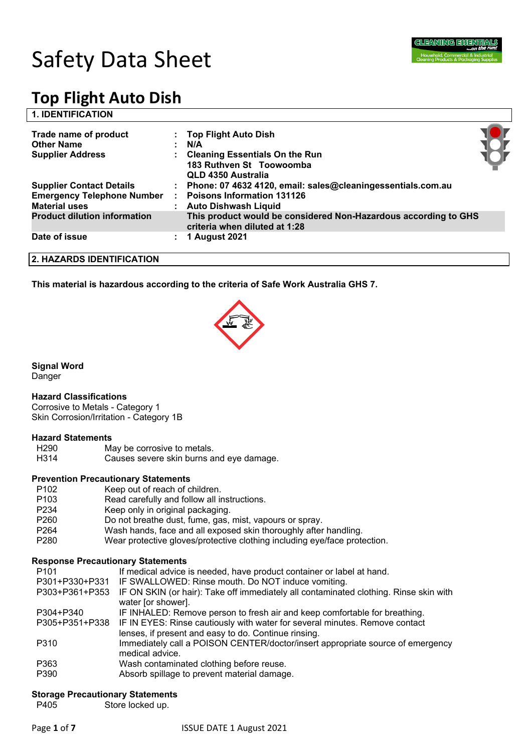

## **1. IDENTIFICATION**

| Trade name of product<br><b>Other Name</b><br><b>Supplier Address</b> | : Top Flight Auto Dish<br>N/A<br>: Cleaning Essentials On the Run<br>183 Ruthven St Toowoomba<br>QLD 4350 Australia |  |
|-----------------------------------------------------------------------|---------------------------------------------------------------------------------------------------------------------|--|
| <b>Supplier Contact Details</b>                                       | : Phone: 07 4632 4120, email: sales@cleaningessentials.com.au                                                       |  |
| <b>Emergency Telephone Number</b>                                     | : Poisons Information 131126                                                                                        |  |
| <b>Material uses</b>                                                  | : Auto Dishwash Liquid                                                                                              |  |
| <b>Product dilution information</b>                                   | This product would be considered Non-Hazardous according to GHS<br>criteria when diluted at 1:28                    |  |
| Date of issue                                                         | 1 August 2021                                                                                                       |  |

**2. HAZARDS IDENTIFICATION**

**This material is hazardous according to the criteria of Safe Work Australia GHS 7.**



**Signal Word**

## Danger

#### **Hazard Classifications**

Corrosive to Metals - Category 1 Skin Corrosion/Irritation - Category 1B

#### **Hazard Statements**

| H290 | May be corrosive to metals.              |
|------|------------------------------------------|
| H314 | Causes severe skin burns and eye damage. |

## **Prevention Precautionary Statements**

P102 Keep out of reach of children. P103 Read carefully and follow all instructions. P234 Keep only in original packaging. P260 Do not breathe dust, fume, gas, mist, vapours or spray. P264 Wash hands, face and all exposed skin thoroughly after handling. P280 Wear protective gloves/protective clothing including eye/face protection.

## **Response Precautionary Statements**

| P <sub>101</sub> | If medical advice is needed, have product container or label at hand.                                       |
|------------------|-------------------------------------------------------------------------------------------------------------|
| P301+P330+P331   | IF SWALLOWED: Rinse mouth. Do NOT induce vomiting.                                                          |
| P303+P361+P353   | IF ON SKIN (or hair): Take off immediately all contaminated clothing. Rinse skin with<br>water [or shower]. |
| P304+P340        | IF INHALED: Remove person to fresh air and keep comfortable for breathing.                                  |
| P305+P351+P338   | IF IN EYES: Rinse cautiously with water for several minutes. Remove contact                                 |
|                  | lenses, if present and easy to do. Continue rinsing.                                                        |
| P310             | Immediately call a POISON CENTER/doctor/insert appropriate source of emergency                              |
|                  | medical advice.                                                                                             |
| P363             | Wash contaminated clothing before reuse.                                                                    |
| P390             | Absorb spillage to prevent material damage.                                                                 |

## **Storage Precautionary Statements**

P405 Store locked up.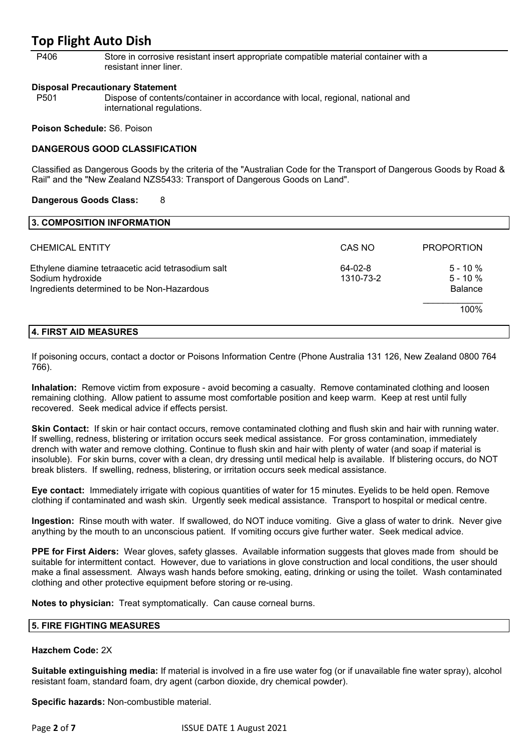P406 Store in corrosive resistant insert appropriate compatible material container with a resistant inner liner.

#### **Disposal Precautionary Statement**

P501 Dispose of contents/container in accordance with local, regional, national and international regulations.

#### **Poison Schedule:** S6. Poison

## **DANGEROUS GOOD CLASSIFICATION**

Classified as Dangerous Goods by the criteria of the "Australian Code for the Transport of Dangerous Goods by Road & Rail" and the "New Zealand NZS5433: Transport of Dangerous Goods on Land".

#### **Dangerous Goods Class:** 8

| 3. COMPOSITION INFORMATION                                                                                           |                      |                                            |
|----------------------------------------------------------------------------------------------------------------------|----------------------|--------------------------------------------|
| <b>CHEMICAL ENTITY</b>                                                                                               | CAS NO               | <b>PROPORTION</b>                          |
| Ethylene diamine tetraacetic acid tetrasodium salt<br>Sodium hydroxide<br>Ingredients determined to be Non-Hazardous | 64-02-8<br>1310-73-2 | $5 - 10 \%$<br>$5 - 10%$<br><b>Balance</b> |
|                                                                                                                      |                      | 100%                                       |

## **4. FIRST AID MEASURES**

If poisoning occurs, contact a doctor or Poisons Information Centre (Phone Australia 131 126, New Zealand 0800 764 766).

**Inhalation:** Remove victim from exposure - avoid becoming a casualty. Remove contaminated clothing and loosen remaining clothing. Allow patient to assume most comfortable position and keep warm. Keep at rest until fully recovered. Seek medical advice if effects persist.

**Skin Contact:** If skin or hair contact occurs, remove contaminated clothing and flush skin and hair with running water. If swelling, redness, blistering or irritation occurs seek medical assistance. For gross contamination, immediately drench with water and remove clothing. Continue to flush skin and hair with plenty of water (and soap if material is insoluble). For skin burns, cover with a clean, dry dressing until medical help is available. If blistering occurs, do NOT break blisters. If swelling, redness, blistering, or irritation occurs seek medical assistance.

**Eye contact:** Immediately irrigate with copious quantities of water for 15 minutes. Eyelids to be held open. Remove clothing if contaminated and wash skin. Urgently seek medical assistance. Transport to hospital or medical centre.

**Ingestion:** Rinse mouth with water. If swallowed, do NOT induce vomiting. Give a glass of water to drink. Never give anything by the mouth to an unconscious patient. If vomiting occurs give further water. Seek medical advice.

**PPE for First Aiders:** Wear gloves, safety glasses. Available information suggests that gloves made from should be suitable for intermittent contact. However, due to variations in glove construction and local conditions, the user should make a final assessment. Always wash hands before smoking, eating, drinking or using the toilet. Wash contaminated clothing and other protective equipment before storing or re-using.

**Notes to physician:** Treat symptomatically. Can cause corneal burns.

#### **5. FIRE FIGHTING MEASURES**

#### **Hazchem Code:** 2X

**Suitable extinguishing media:** If material is involved in a fire use water fog (or if unavailable fine water spray), alcohol resistant foam, standard foam, dry agent (carbon dioxide, dry chemical powder).

**Specific hazards:** Non-combustible material.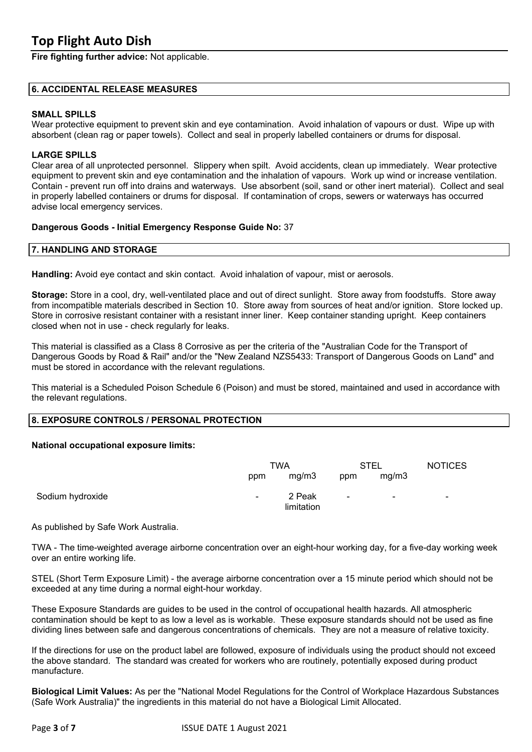**Fire fighting further advice:** Not applicable.

#### **6. ACCIDENTAL RELEASE MEASURES**

## **SMALL SPILLS**

Wear protective equipment to prevent skin and eye contamination. Avoid inhalation of vapours or dust. Wipe up with absorbent (clean rag or paper towels). Collect and seal in properly labelled containers or drums for disposal.

#### **LARGE SPILLS**

Clear area of all unprotected personnel. Slippery when spilt. Avoid accidents, clean up immediately. Wear protective equipment to prevent skin and eye contamination and the inhalation of vapours. Work up wind or increase ventilation. Contain - prevent run off into drains and waterways. Use absorbent (soil, sand or other inert material). Collect and seal in properly labelled containers or drums for disposal. If contamination of crops, sewers or waterways has occurred advise local emergency services.

#### **Dangerous Goods - Initial Emergency Response Guide No:** 37

## **7. HANDLING AND STORAGE**

**Handling:** Avoid eye contact and skin contact. Avoid inhalation of vapour, mist or aerosols.

**Storage:** Store in a cool, dry, well-ventilated place and out of direct sunlight. Store away from foodstuffs. Store away from incompatible materials described in Section 10. Store away from sources of heat and/or ignition. Store locked up. Store in corrosive resistant container with a resistant inner liner. Keep container standing upright. Keep containers closed when not in use - check regularly for leaks.

This material is classified as a Class 8 Corrosive as per the criteria of the "Australian Code for the Transport of Dangerous Goods by Road & Rail" and/or the "New Zealand NZS5433: Transport of Dangerous Goods on Land" and must be stored in accordance with the relevant regulations.

This material is a Scheduled Poison Schedule 6 (Poison) and must be stored, maintained and used in accordance with the relevant regulations.

## **8. EXPOSURE CONTROLS / PERSONAL PROTECTION**

#### **National occupational exposure limits:**

|                  | TWA    |                      | STEL           |                | <b>NOTICES</b> |
|------------------|--------|----------------------|----------------|----------------|----------------|
|                  | ppm    | mg/m3                | ppm            | mg/m3          |                |
| Sodium hydroxide | $\sim$ | 2 Peak<br>limitation | $\blacksquare$ | $\blacksquare$ | $\blacksquare$ |

As published by Safe Work Australia.

TWA - The time-weighted average airborne concentration over an eight-hour working day, for a five-day working week over an entire working life.

STEL (Short Term Exposure Limit) - the average airborne concentration over a 15 minute period which should not be exceeded at any time during a normal eight-hour workday.

These Exposure Standards are guides to be used in the control of occupational health hazards. All atmospheric contamination should be kept to as low a level as is workable. These exposure standards should not be used as fine dividing lines between safe and dangerous concentrations of chemicals. They are not a measure of relative toxicity.

If the directions for use on the product label are followed, exposure of individuals using the product should not exceed the above standard. The standard was created for workers who are routinely, potentially exposed during product manufacture.

**Biological Limit Values:** As per the "National Model Regulations for the Control of Workplace Hazardous Substances (Safe Work Australia)" the ingredients in this material do not have a Biological Limit Allocated.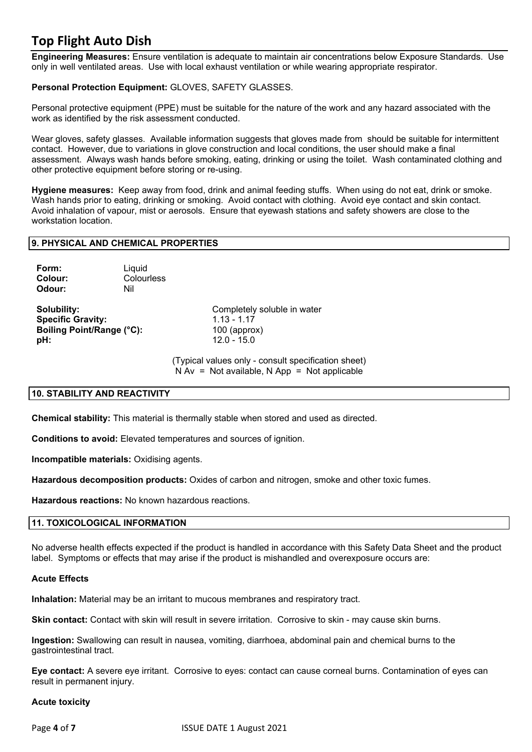**Engineering Measures:** Ensure ventilation is adequate to maintain air concentrations below Exposure Standards. Use only in well ventilated areas. Use with local exhaust ventilation or while wearing appropriate respirator.

## **Personal Protection Equipment:** GLOVES, SAFETY GLASSES.

Personal protective equipment (PPE) must be suitable for the nature of the work and any hazard associated with the work as identified by the risk assessment conducted.

Wear gloves, safety glasses. Available information suggests that gloves made from should be suitable for intermittent contact. However, due to variations in glove construction and local conditions, the user should make a final assessment. Always wash hands before smoking, eating, drinking or using the toilet. Wash contaminated clothing and other protective equipment before storing or re-using.

**Hygiene measures:** Keep away from food, drink and animal feeding stuffs. When using do not eat, drink or smoke. Wash hands prior to eating, drinking or smoking. Avoid contact with clothing. Avoid eye contact and skin contact. Avoid inhalation of vapour, mist or aerosols. Ensure that eyewash stations and safety showers are close to the workstation location.

## **9. PHYSICAL AND CHEMICAL PROPERTIES**

| Form:   | Liquid     |
|---------|------------|
| Colour: | Colourless |
| Odour:  | Nil        |

**Specific Gravity:** 1.13 - 1.17 **Boiling Point/Range (°C):** 100 (approx) **pH:** 12.0 - 15.0

**Solubility:** Completely soluble in water

(Typical values only - consult specification sheet)  $N Av = Not available, N App = Not applicable$ 

## **10. STABILITY AND REACTIVITY**

**Chemical stability:** This material is thermally stable when stored and used as directed.

**Conditions to avoid:** Elevated temperatures and sources of ignition.

**Incompatible materials:** Oxidising agents.

**Hazardous decomposition products:** Oxides of carbon and nitrogen, smoke and other toxic fumes.

**Hazardous reactions:** No known hazardous reactions.

## **11. TOXICOLOGICAL INFORMATION**

No adverse health effects expected if the product is handled in accordance with this Safety Data Sheet and the product label. Symptoms or effects that may arise if the product is mishandled and overexposure occurs are:

#### **Acute Effects**

**Inhalation:** Material may be an irritant to mucous membranes and respiratory tract.

**Skin contact:** Contact with skin will result in severe irritation. Corrosive to skin - may cause skin burns.

**Ingestion:** Swallowing can result in nausea, vomiting, diarrhoea, abdominal pain and chemical burns to the gastrointestinal tract.

**Eye contact:** A severe eye irritant. Corrosive to eyes: contact can cause corneal burns. Contamination of eyes can result in permanent injury.

#### **Acute toxicity**

Page **4** of **7** ISSUE DATE 1 August 2021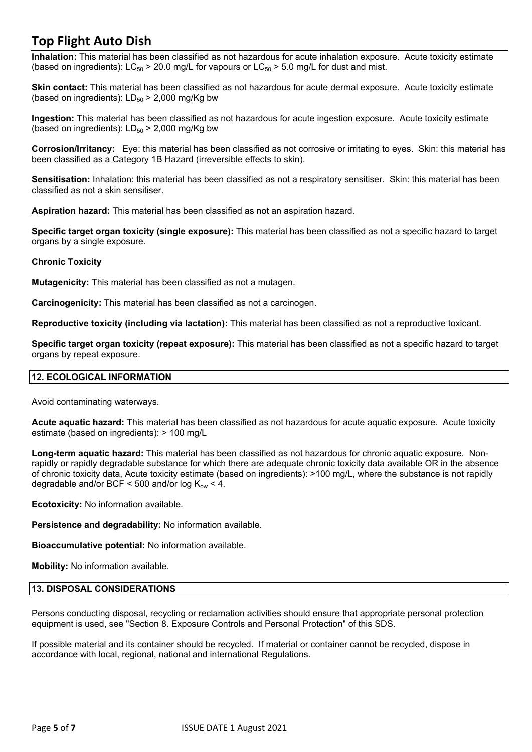**Inhalation:** This material has been classified as not hazardous for acute inhalation exposure. Acute toxicity estimate (based on ingredients):  $LC_{50}$  > 20.0 mg/L for vapours or  $LC_{50}$  > 5.0 mg/L for dust and mist.

**Skin contact:** This material has been classified as not hazardous for acute dermal exposure. Acute toxicity estimate (based on ingredients):  $LD_{50}$  > 2,000 mg/Kg bw

**Ingestion:** This material has been classified as not hazardous for acute ingestion exposure. Acute toxicity estimate (based on ingredients):  $LD_{50}$  > 2,000 mg/Kg bw

**Corrosion/Irritancy:** Eye: this material has been classified as not corrosive or irritating to eyes. Skin: this material has been classified as a Category 1B Hazard (irreversible effects to skin).

**Sensitisation:** Inhalation: this material has been classified as not a respiratory sensitiser. Skin: this material has been classified as not a skin sensitiser.

**Aspiration hazard:** This material has been classified as not an aspiration hazard.

**Specific target organ toxicity (single exposure):** This material has been classified as not a specific hazard to target organs by a single exposure.

## **Chronic Toxicity**

**Mutagenicity:** This material has been classified as not a mutagen.

**Carcinogenicity:** This material has been classified as not a carcinogen.

**Reproductive toxicity (including via lactation):** This material has been classified as not a reproductive toxicant.

**Specific target organ toxicity (repeat exposure):** This material has been classified as not a specific hazard to target organs by repeat exposure.

## **12. ECOLOGICAL INFORMATION**

Avoid contaminating waterways.

**Acute aquatic hazard:** This material has been classified as not hazardous for acute aquatic exposure. Acute toxicity estimate (based on ingredients): > 100 mg/L

**Long-term aquatic hazard:** This material has been classified as not hazardous for chronic aquatic exposure. Nonrapidly or rapidly degradable substance for which there are adequate chronic toxicity data available OR in the absence of chronic toxicity data, Acute toxicity estimate (based on ingredients): >100 mg/L, where the substance is not rapidly degradable and/or BCF < 500 and/or log  $K_{\text{ow}}$  < 4.

**Ecotoxicity:** No information available.

**Persistence and degradability:** No information available.

**Bioaccumulative potential:** No information available.

**Mobility:** No information available.

#### **13. DISPOSAL CONSIDERATIONS**

Persons conducting disposal, recycling or reclamation activities should ensure that appropriate personal protection equipment is used, see "Section 8. Exposure Controls and Personal Protection" of this SDS.

If possible material and its container should be recycled. If material or container cannot be recycled, dispose in accordance with local, regional, national and international Regulations.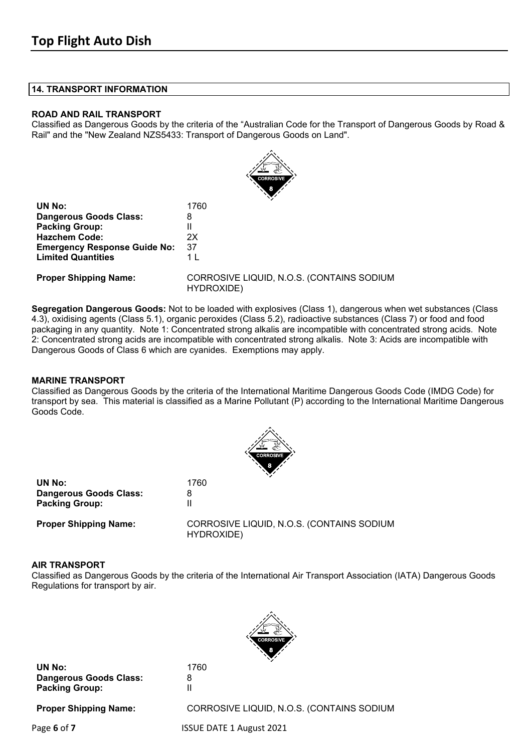#### **14. TRANSPORT INFORMATION**

### **ROAD AND RAIL TRANSPORT**

Classified as Dangerous Goods by the criteria of the "Australian Code for the Transport of Dangerous Goods by Road & Rail" and the "New Zealand NZS5433: Transport of Dangerous Goods on Land".



| 1760 |
|------|
| 8    |
| Ш    |
| 2Χ   |
| 37   |
| 1 I  |
|      |

**Proper Shipping Name:** CORROSIVE LIQUID, N.O.S. (CONTAINS SODIUM HYDROXIDE)

**Segregation Dangerous Goods:** Not to be loaded with explosives (Class 1), dangerous when wet substances (Class 4.3), oxidising agents (Class 5.1), organic peroxides (Class 5.2), radioactive substances (Class 7) or food and food packaging in any quantity. Note 1: Concentrated strong alkalis are incompatible with concentrated strong acids. Note 2: Concentrated strong acids are incompatible with concentrated strong alkalis. Note 3: Acids are incompatible with Dangerous Goods of Class 6 which are cyanides. Exemptions may apply.

## **MARINE TRANSPORT**

Classified as Dangerous Goods by the criteria of the International Maritime Dangerous Goods Code (IMDG Code) for transport by sea. This material is classified as a Marine Pollutant (P) according to the International Maritime Dangerous Goods Code.



|                               | <b>STATE</b>                   |
|-------------------------------|--------------------------------|
| UN No:                        | 1760                           |
| <b>Dangerous Goods Class:</b> |                                |
| <b>Packing Group:</b>         |                                |
| <b>Proper Shipping Name:</b>  | <b>CORROSIVE LIQUID, N.O.S</b> |

**S. (CONTAINS SODIUM** HYDROXIDE)

## **AIR TRANSPORT**

Classified as Dangerous Goods by the criteria of the International Air Transport Association (IATA) Dangerous Goods Regulations for transport by air.



**UN No:** 1760 **Dangerous Goods Class:** 8<br>**Packing Group:** 1 **Packing Group:** 

**Proper Shipping Name:** CORROSIVE LIQUID, N.O.S. (CONTAINS SODIUM